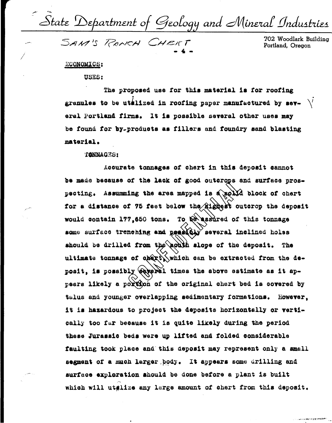State Department of Geology and Mineral Industries<br>SAM'S RANCH CHERT 702 Woodlark Building

## ECONOMICS:

USES:

The proposed use for this material is for roofing granules to be utalized in roofing paper manufactured by sev-  $\setminus'$ eral Portland firms. It is possible several other uses may be found for by-products as fillers and foundry sand blasting material.

## **TANNAGES:**

Accurate tonnages of chert in this deposit cannot be made because of the lack of good outcrops and surface prospecting. Assumming the area mapped is a solid block of chert for a distance of 75 feet below the Riggest outcrop the deposit would contain 177.650 tons. To be assured of this tonnage some surface trenching and pearley several inclined holes should be drilled from the aouth slope of the deposit. The ultimate tonnage of obert, which can be extracted from the deposit, is possibly saveral times the above estimate as it appears likely a portion of the original chert bed is covered by talus and younger overlapping sedimentary formations. However, it is hazardous to project the deposits horizontally or vertically too far because it is quite likely during the period these Jurassic beds were up lifted and folded considerable faulting took place and this deposit may represent only a small segment of a much larger body. It appears some drilling and surface exploration should be done before a plant is built which will utalize any large amount of chert from this deposit.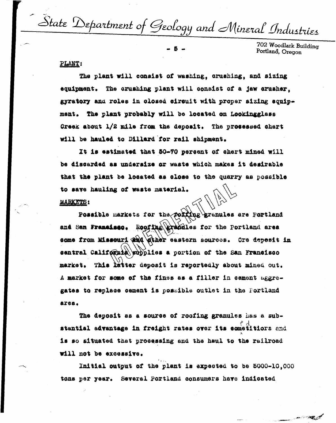State Department of Geology and Mineral Industries

702 Woodlark Building Portland, Oregon

## PLANT:

The plant will consist of washing, crushing, and sizing equipment. The crushing plant will consist of a jaw crusher. gyratory and roles in closed circuit with proper sizing equipment. The plant probably will be located on Lookingglass Creek about 1/2 mile from the deposit. The processed chert will be hauled to Dillard for rail shipment.

It is estimated that 50-70 percent of chert mined will be discarded as undersize or waste which makes it desirable that the plant be located as close to the quarry as possible to save hauling of waste material.

## **MARKETS:**

Possible markets for the porting granules are Portland and San Francisco. Roofthe grandies for the Portland area some from Missouri and dther eastern sources. Ore depesit in sentral California supplies a portion of the San Francisco market. This latter deposit is reportedly about mined out. A market for some of the fines as a filler in cement aggregates to replace cement is possible outlet in the Fortland area.

The deposit as a source of roofing granules has a substantial advantage in freight rates over its cometitiors and is so situated that processing and the haul to the railroad will not be excessive.

Initial output of the plant is expected to be 5000-10.000 tons per year. Several Portland consumers have indicated